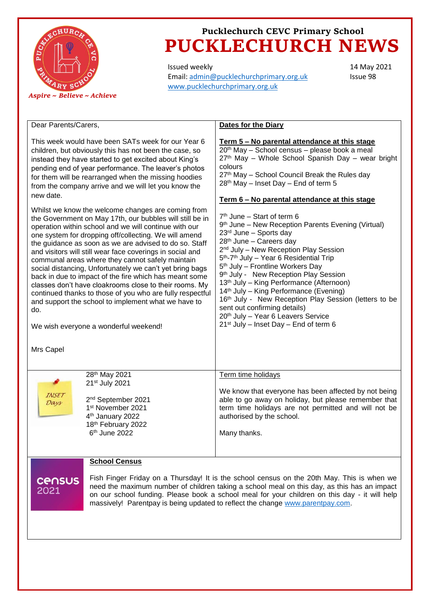

# **Pucklechurch CEVC Primary School PUCKLECHURCH NEWS**

Issued weekly Email: [admin@pucklechurchprimary.org.uk](mailto:admin@pucklechurchprimary.org.uk) [www.pucklechurchprimary.org.uk](http://www.pucklechurchprimary.org.uk/)

14 May 2021 Issue 98

| Dear Parents/Carers,                                                                                                                                                                                                                                                                                                                                                                                                                                                                                                                                                                                                                                                                                                                                                         | <b>Dates for the Diary</b>                                                                                                                                                                                                                                                                                                                                                                                                                                                                                                                                                                                                                                   |
|------------------------------------------------------------------------------------------------------------------------------------------------------------------------------------------------------------------------------------------------------------------------------------------------------------------------------------------------------------------------------------------------------------------------------------------------------------------------------------------------------------------------------------------------------------------------------------------------------------------------------------------------------------------------------------------------------------------------------------------------------------------------------|--------------------------------------------------------------------------------------------------------------------------------------------------------------------------------------------------------------------------------------------------------------------------------------------------------------------------------------------------------------------------------------------------------------------------------------------------------------------------------------------------------------------------------------------------------------------------------------------------------------------------------------------------------------|
| This week would have been SATs week for our Year 6<br>children, but obviously this has not been the case, so<br>instead they have started to get excited about King's<br>pending end of year performance. The leaver's photos<br>for them will be rearranged when the missing hoodies<br>from the company arrive and we will let you know the<br>new date.                                                                                                                                                                                                                                                                                                                                                                                                                   | Term 5 – No parental attendance at this stage<br>20 <sup>th</sup> May - School census - please book a meal<br>27th May - Whole School Spanish Day - wear bright<br>colours<br>27th May - School Council Break the Rules day<br>28 <sup>th</sup> May - Inset Day - End of term 5                                                                                                                                                                                                                                                                                                                                                                              |
|                                                                                                                                                                                                                                                                                                                                                                                                                                                                                                                                                                                                                                                                                                                                                                              | Term 6 - No parental attendance at this stage                                                                                                                                                                                                                                                                                                                                                                                                                                                                                                                                                                                                                |
| Whilst we know the welcome changes are coming from<br>the Government on May 17th, our bubbles will still be in<br>operation within school and we will continue with our<br>one system for dropping off/collecting. We will amend<br>the guidance as soon as we are advised to do so. Staff<br>and visitors will still wear face coverings in social and<br>communal areas where they cannot safely maintain<br>social distancing, Unfortunately we can't yet bring bags<br>back in due to impact of the fire which has meant some<br>classes don't have cloakrooms close to their rooms. My<br>continued thanks to those of you who are fully respectful<br>and support the school to implement what we have to<br>do.<br>We wish everyone a wonderful weekend!<br>Mrs Capel | $7th$ June – Start of term 6<br>9 <sup>th</sup> June – New Reception Parents Evening (Virtual)<br>$23rd$ June – Sports day<br>28th June - Careers day<br>2 <sup>nd</sup> July - New Reception Play Session<br>5 <sup>th</sup> -7 <sup>th</sup> July - Year 6 Residential Trip<br>5 <sup>th</sup> July - Frontline Workers Day<br>9th July - New Reception Play Session<br>13 <sup>th</sup> July – King Performance (Afternoon)<br>14th July - King Performance (Evening)<br>16th July - New Reception Play Session (letters to be<br>sent out confirming details)<br>20th July - Year 6 Leavers Service<br>21 <sup>st</sup> July - Inset Day - End of term 6 |
| 28th May 2021                                                                                                                                                                                                                                                                                                                                                                                                                                                                                                                                                                                                                                                                                                                                                                | Term time holidays                                                                                                                                                                                                                                                                                                                                                                                                                                                                                                                                                                                                                                           |
| 21 <sup>st</sup> July 2021<br>INSET<br>2 <sup>nd</sup> September 2021<br>Days<br>1st November 2021<br>4 <sup>th</sup> January 2022<br>18th February 2022<br>6 <sup>th</sup> June 2022                                                                                                                                                                                                                                                                                                                                                                                                                                                                                                                                                                                        | We know that everyone has been affected by not being<br>able to go away on holiday, but please remember that<br>term time holidays are not permitted and will not be<br>authorised by the school.<br>Many thanks.                                                                                                                                                                                                                                                                                                                                                                                                                                            |
| <b>School Census</b>                                                                                                                                                                                                                                                                                                                                                                                                                                                                                                                                                                                                                                                                                                                                                         |                                                                                                                                                                                                                                                                                                                                                                                                                                                                                                                                                                                                                                                              |
| Fish Finger Friday on a Thursday! It is the school census on the 20th May. This is when we<br><b>CENSUS</b><br>need the maximum number of children taking a school meal on this day, as this has an impact<br>2021<br>on our school funding. Please book a school meal for your children on this day - it will help<br>massively! Parentpay is being updated to reflect the change www.parentpay.com.                                                                                                                                                                                                                                                                                                                                                                        |                                                                                                                                                                                                                                                                                                                                                                                                                                                                                                                                                                                                                                                              |
|                                                                                                                                                                                                                                                                                                                                                                                                                                                                                                                                                                                                                                                                                                                                                                              |                                                                                                                                                                                                                                                                                                                                                                                                                                                                                                                                                                                                                                                              |